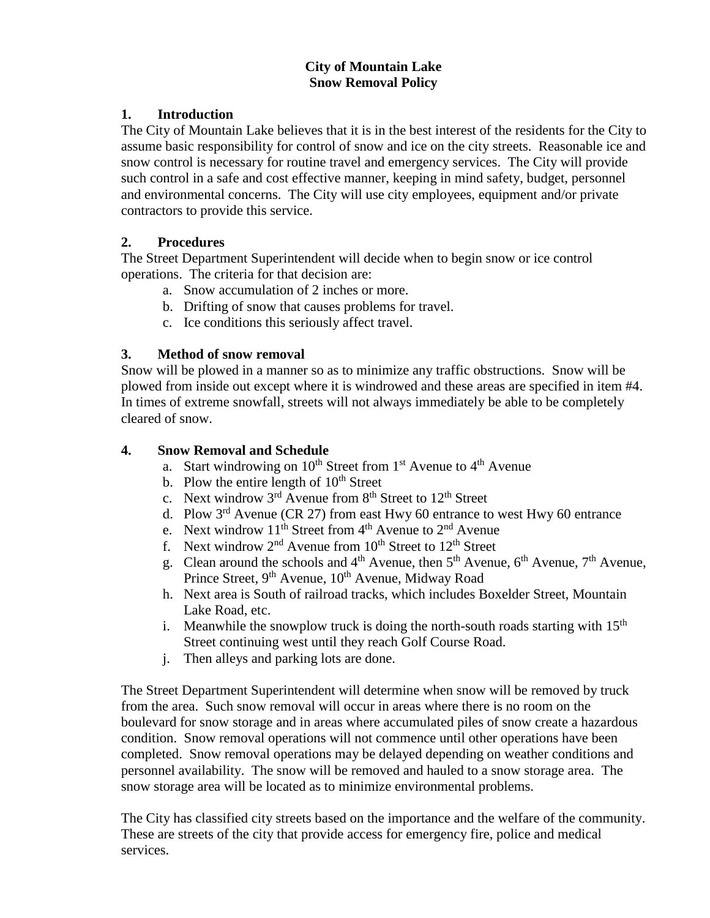#### **City of Mountain Lake Snow Removal Policy**

## **1. Introduction**

The City of Mountain Lake believes that it is in the best interest of the residents for the City to assume basic responsibility for control of snow and ice on the city streets. Reasonable ice and snow control is necessary for routine travel and emergency services. The City will provide such control in a safe and cost effective manner, keeping in mind safety, budget, personnel and environmental concerns. The City will use city employees, equipment and/or private contractors to provide this service.

## **2. Procedures**

The Street Department Superintendent will decide when to begin snow or ice control operations. The criteria for that decision are:

- a. Snow accumulation of 2 inches or more.
- b. Drifting of snow that causes problems for travel.
- c. Ice conditions this seriously affect travel.

## **3. Method of snow removal**

Snow will be plowed in a manner so as to minimize any traffic obstructions. Snow will be plowed from inside out except where it is windrowed and these areas are specified in item #4. In times of extreme snowfall, streets will not always immediately be able to be completely cleared of snow.

## **4. Snow Removal and Schedule**

- a. Start windrowing on  $10^{th}$  Street from  $1^{st}$  Avenue to  $4^{th}$  Avenue
- b. Plow the entire length of  $10<sup>th</sup>$  Street
- c. Next windrow  $3<sup>rd</sup>$  Avenue from  $8<sup>th</sup>$  Street to  $12<sup>th</sup>$  Street
- d. Plow  $3<sup>rd</sup>$  Avenue (CR 27) from east Hwy 60 entrance to west Hwy 60 entrance
- e. Next windrow  $11^{th}$  Street from  $4^{th}$  Avenue to  $2^{nd}$  Avenue
- f. Next windrow  $2<sup>nd</sup>$  Avenue from  $10<sup>th</sup>$  Street to  $12<sup>th</sup>$  Street
- g. Clean around the schools and  $4<sup>th</sup>$  Avenue, then  $5<sup>th</sup>$  Avenue,  $6<sup>th</sup>$  Avenue,  $7<sup>th</sup>$  Avenue, Prince Street, 9<sup>th</sup> Avenue, 10<sup>th</sup> Avenue, Midway Road
- h. Next area is South of railroad tracks, which includes Boxelder Street, Mountain Lake Road, etc.
- i. Meanwhile the snowplow truck is doing the north-south roads starting with  $15<sup>th</sup>$ Street continuing west until they reach Golf Course Road.
- j. Then alleys and parking lots are done.

The Street Department Superintendent will determine when snow will be removed by truck from the area. Such snow removal will occur in areas where there is no room on the boulevard for snow storage and in areas where accumulated piles of snow create a hazardous condition. Snow removal operations will not commence until other operations have been completed. Snow removal operations may be delayed depending on weather conditions and personnel availability. The snow will be removed and hauled to a snow storage area. The snow storage area will be located as to minimize environmental problems.

The City has classified city streets based on the importance and the welfare of the community. These are streets of the city that provide access for emergency fire, police and medical services.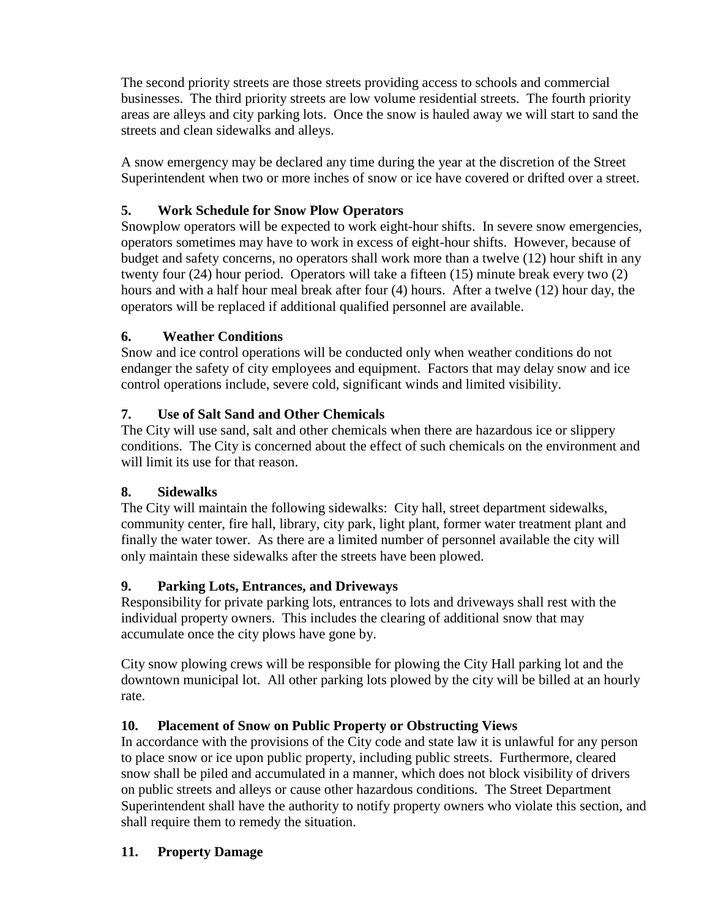The second priority streets are those streets providing access to schools and commercial businesses. The third priority streets are low volume residential streets. The fourth priority areas are alleys and city parking lots. Once the snow is hauled away we will start to sand the streets and clean sidewalks and alleys.

A snow emergency may be declared any time during the year at the discretion of the Street Superintendent when two or more inches of snow or ice have covered or drifted over a street.

# **5. Work Schedule for Snow Plow Operators**

Snowplow operators will be expected to work eight-hour shifts. In severe snow emergencies, operators sometimes may have to work in excess of eight-hour shifts. However, because of budget and safety concerns, no operators shall work more than a twelve (12) hour shift in any twenty four (24) hour period. Operators will take a fifteen (15) minute break every two (2) hours and with a half hour meal break after four (4) hours. After a twelve (12) hour day, the operators will be replaced if additional qualified personnel are available.

## **6. Weather Conditions**

Snow and ice control operations will be conducted only when weather conditions do not endanger the safety of city employees and equipment. Factors that may delay snow and ice control operations include, severe cold, significant winds and limited visibility.

## **7. Use of Salt Sand and Other Chemicals**

The City will use sand, salt and other chemicals when there are hazardous ice or slippery conditions. The City is concerned about the effect of such chemicals on the environment and will limit its use for that reason.

#### **8. Sidewalks**

The City will maintain the following sidewalks: City hall, street department sidewalks, community center, fire hall, library, city park, light plant, former water treatment plant and finally the water tower. As there are a limited number of personnel available the city will only maintain these sidewalks after the streets have been plowed.

## **9. Parking Lots, Entrances, and Driveways**

Responsibility for private parking lots, entrances to lots and driveways shall rest with the individual property owners. This includes the clearing of additional snow that may accumulate once the city plows have gone by.

City snow plowing crews will be responsible for plowing the City Hall parking lot and the downtown municipal lot. All other parking lots plowed by the city will be billed at an hourly rate.

## **10. Placement of Snow on Public Property or Obstructing Views**

In accordance with the provisions of the City code and state law it is unlawful for any person to place snow or ice upon public property, including public streets. Furthermore, cleared snow shall be piled and accumulated in a manner, which does not block visibility of drivers on public streets and alleys or cause other hazardous conditions. The Street Department Superintendent shall have the authority to notify property owners who violate this section, and shall require them to remedy the situation.

#### **11. Property Damage**